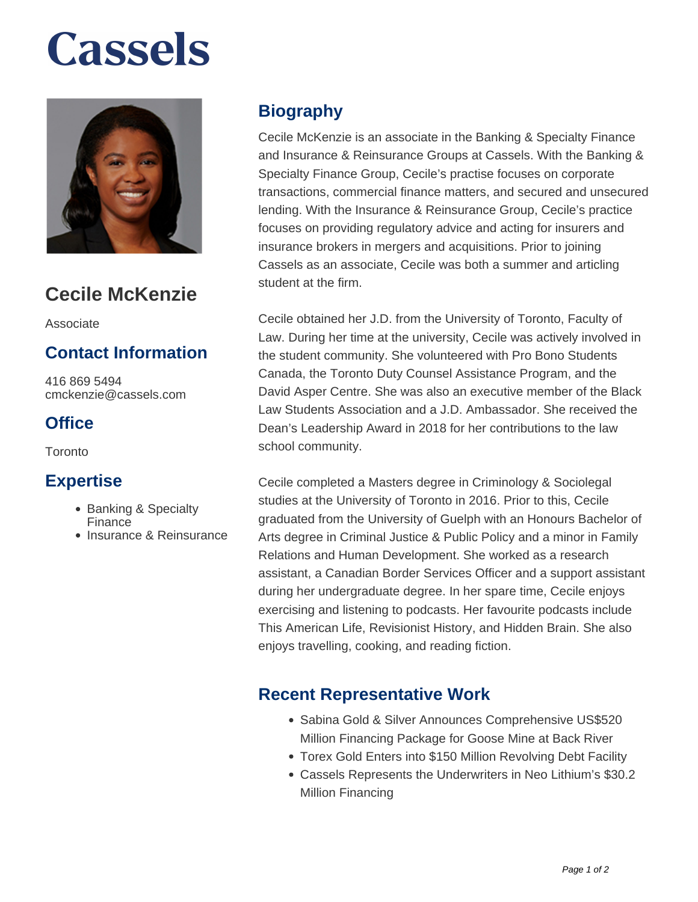# **Cassels**



### **Cecile McKenzie**

Associate

#### **Contact Information**

416 869 5494 cmckenzie@cassels.com

#### **Office**

Toronto

#### **Expertise**

- Banking & Specialty Finance
- Insurance & Reinsurance

#### **Biography**

Cecile McKenzie is an associate in the Banking & Specialty Finance and Insurance & Reinsurance Groups at Cassels. With the Banking & Specialty Finance Group, Cecile's practise focuses on corporate transactions, commercial finance matters, and secured and unsecured lending. With the Insurance & Reinsurance Group, Cecile's practice focuses on providing regulatory advice and acting for insurers and insurance brokers in mergers and acquisitions. Prior to joining Cassels as an associate, Cecile was both a summer and articling student at the firm.

Cecile obtained her J.D. from the University of Toronto, Faculty of Law. During her time at the university, Cecile was actively involved in the student community. She volunteered with Pro Bono Students Canada, the Toronto Duty Counsel Assistance Program, and the David Asper Centre. She was also an executive member of the Black Law Students Association and a J.D. Ambassador. She received the Dean's Leadership Award in 2018 for her contributions to the law school community.

Cecile completed a Masters degree in Criminology & Sociolegal studies at the University of Toronto in 2016. Prior to this, Cecile graduated from the University of Guelph with an Honours Bachelor of Arts degree in Criminal Justice & Public Policy and a minor in Family Relations and Human Development. She worked as a research assistant, a Canadian Border Services Officer and a support assistant during her undergraduate degree. In her spare time, Cecile enjoys exercising and listening to podcasts. Her favourite podcasts include This American Life, Revisionist History, and Hidden Brain. She also enjoys travelling, cooking, and reading fiction.

#### **Recent Representative Work**

- Sabina Gold & Silver Announces Comprehensive US\$520 Million Financing Package for Goose Mine at Back River
- Torex Gold Enters into \$150 Million Revolving Debt Facility
- Cassels Represents the Underwriters in Neo Lithium's \$30.2 Million Financing